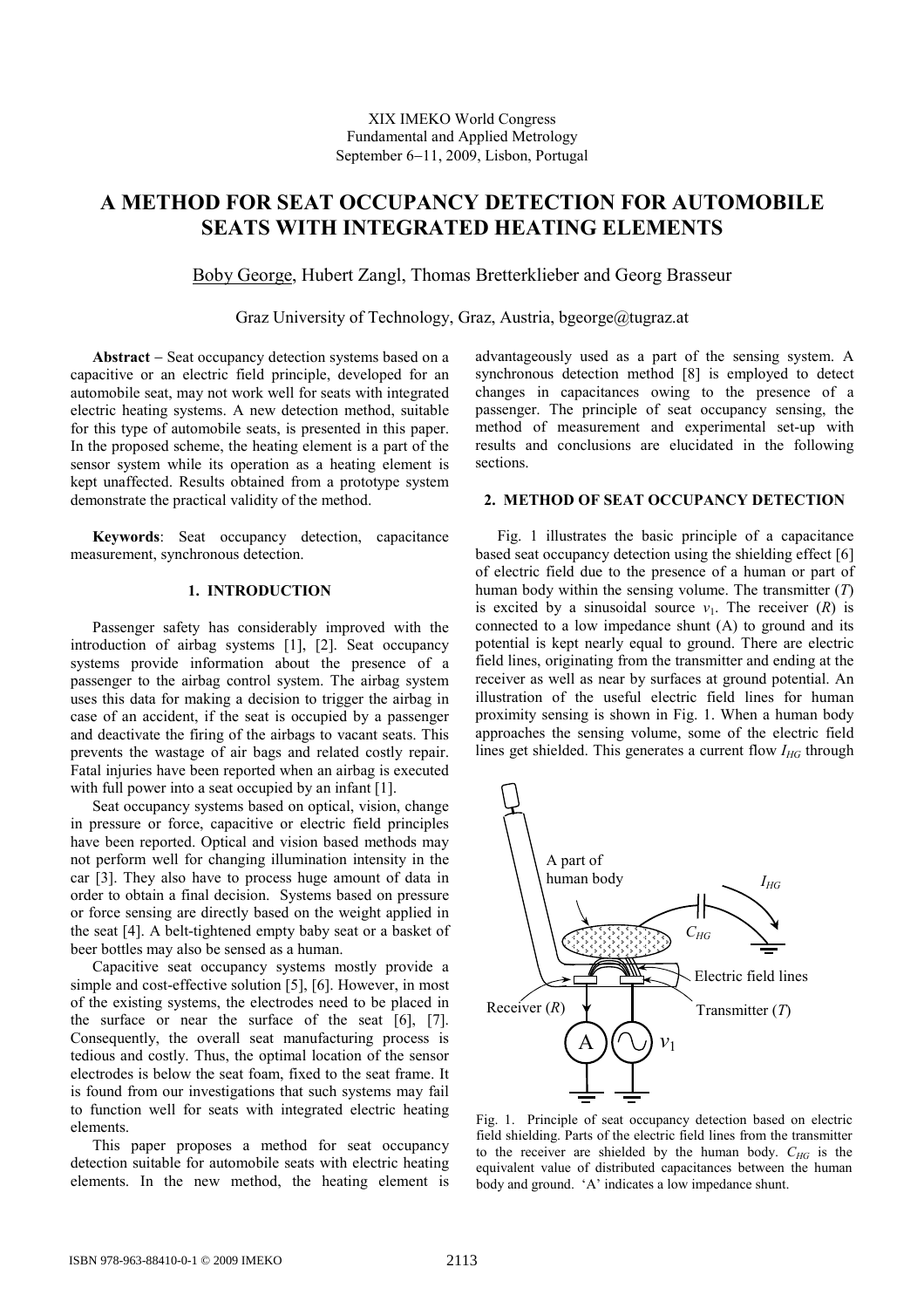# **A METHOD FOR SEAT OCCUPANCY DETECTION FOR AUTOMOBILE SEATS WITH INTEGRATED HEATING ELEMENTS**

Boby George, Hubert Zangl, Thomas Bretterklieber and Georg Brasseur

Graz University of Technology, Graz, Austria, bgeorge@tugraz.at

**Abstract** − Seat occupancy detection systems based on a capacitive or an electric field principle, developed for an automobile seat, may not work well for seats with integrated electric heating systems. A new detection method, suitable for this type of automobile seats, is presented in this paper. In the proposed scheme, the heating element is a part of the sensor system while its operation as a heating element is kept unaffected. Results obtained from a prototype system demonstrate the practical validity of the method.

**Keywords**: Seat occupancy detection, capacitance measurement, synchronous detection.

# **1. INTRODUCTION**

Passenger safety has considerably improved with the introduction of airbag systems [1], [2]. Seat occupancy systems provide information about the presence of a passenger to the airbag control system. The airbag system uses this data for making a decision to trigger the airbag in case of an accident, if the seat is occupied by a passenger and deactivate the firing of the airbags to vacant seats. This prevents the wastage of air bags and related costly repair. Fatal injuries have been reported when an airbag is executed with full power into a seat occupied by an infant [1].

Seat occupancy systems based on optical, vision, change in pressure or force, capacitive or electric field principles have been reported. Optical and vision based methods may not perform well for changing illumination intensity in the car [3]. They also have to process huge amount of data in order to obtain a final decision. Systems based on pressure or force sensing are directly based on the weight applied in the seat [4]. A belt-tightened empty baby seat or a basket of beer bottles may also be sensed as a human.

Capacitive seat occupancy systems mostly provide a simple and cost-effective solution [5], [6]. However, in most of the existing systems, the electrodes need to be placed in the surface or near the surface of the seat [6], [7]. Consequently, the overall seat manufacturing process is tedious and costly. Thus, the optimal location of the sensor electrodes is below the seat foam, fixed to the seat frame. It is found from our investigations that such systems may fail to function well for seats with integrated electric heating elements.

This paper proposes a method for seat occupancy detection suitable for automobile seats with electric heating elements. In the new method, the heating element is

advantageously used as a part of the sensing system. A synchronous detection method [8] is employed to detect changes in capacitances owing to the presence of a passenger. The principle of seat occupancy sensing, the method of measurement and experimental set-up with results and conclusions are elucidated in the following sections.

# **2. METHOD OF SEAT OCCUPANCY DETECTION**

Fig. 1 illustrates the basic principle of a capacitance based seat occupancy detection using the shielding effect [6] of electric field due to the presence of a human or part of human body within the sensing volume. The transmitter (*T*) is excited by a sinusoidal source  $v_1$ . The receiver  $(R)$  is connected to a low impedance shunt (A) to ground and its potential is kept nearly equal to ground. There are electric field lines, originating from the transmitter and ending at the receiver as well as near by surfaces at ground potential. An illustration of the useful electric field lines for human proximity sensing is shown in Fig. 1. When a human body approaches the sensing volume, some of the electric field lines get shielded. This generates a current flow *IHG* through



Fig. 1. Principle of seat occupancy detection based on electric field shielding. Parts of the electric field lines from the transmitter to the receiver are shielded by the human body.  $C_{HG}$  is the equivalent value of distributed capacitances between the human body and ground. 'A' indicates a low impedance shunt.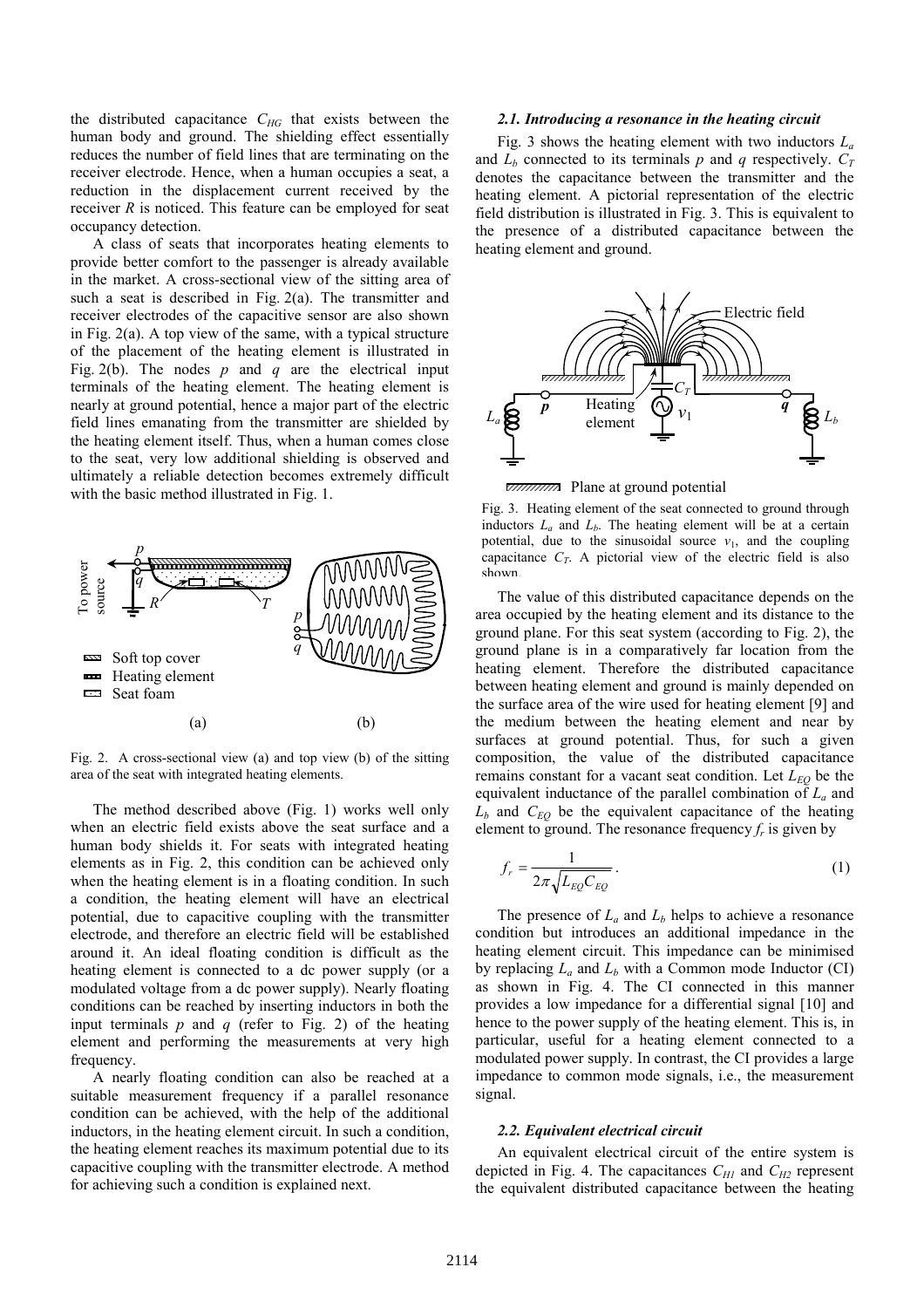the distributed capacitance *CHG* that exists between the human body and ground. The shielding effect essentially reduces the number of field lines that are terminating on the receiver electrode. Hence, when a human occupies a seat, a reduction in the displacement current received by the receiver *R* is noticed. This feature can be employed for seat occupancy detection.

A class of seats that incorporates heating elements to provide better comfort to the passenger is already available in the market. A cross-sectional view of the sitting area of such a seat is described in Fig. 2(a). The transmitter and receiver electrodes of the capacitive sensor are also shown in Fig. 2(a). A top view of the same, with a typical structure of the placement of the heating element is illustrated in Fig. 2(b). The nodes *p* and *q* are the electrical input terminals of the heating element. The heating element is nearly at ground potential, hence a major part of the electric field lines emanating from the transmitter are shielded by the heating element itself. Thus, when a human comes close to the seat, very low additional shielding is observed and ultimately a reliable detection becomes extremely difficult with the basic method illustrated in Fig. 1.



Fig. 2. A cross-sectional view (a) and top view (b) of the sitting area of the seat with integrated heating elements.

The method described above (Fig. 1) works well only when an electric field exists above the seat surface and a human body shields it. For seats with integrated heating elements as in Fig. 2, this condition can be achieved only when the heating element is in a floating condition. In such a condition, the heating element will have an electrical potential, due to capacitive coupling with the transmitter electrode, and therefore an electric field will be established around it. An ideal floating condition is difficult as the heating element is connected to a dc power supply (or a modulated voltage from a dc power supply). Nearly floating conditions can be reached by inserting inductors in both the input terminals *p* and *q* (refer to Fig. 2) of the heating element and performing the measurements at very high frequency.

A nearly floating condition can also be reached at a suitable measurement frequency if a parallel resonance condition can be achieved, with the help of the additional inductors, in the heating element circuit. In such a condition, the heating element reaches its maximum potential due to its capacitive coupling with the transmitter electrode. A method for achieving such a condition is explained next.

#### *2.1. Introducing a resonance in the heating circuit*

Fig. 3 shows the heating element with two inductors  $L_a$ and  $L_b$  connected to its terminals  $p$  and  $q$  respectively.  $C_T$ denotes the capacitance between the transmitter and the heating element. A pictorial representation of the electric field distribution is illustrated in Fig. 3. This is equivalent to the presence of a distributed capacitance between the heating element and ground.



**EXAMANA** Plane at ground potential

Fig. 3. Heating element of the seat connected to ground through inductors  $L_a$  and  $L_b$ . The heating element will be at a certain potential, due to the sinusoidal source  $v_1$ , and the coupling capacitance  $C_T$ . A pictorial view of the electric field is also shown.

The value of this distributed capacitance depends on the area occupied by the heating element and its distance to the ground plane. For this seat system (according to Fig. 2), the ground plane is in a comparatively far location from the heating element. Therefore the distributed capacitance between heating element and ground is mainly depended on the surface area of the wire used for heating element [9] and the medium between the heating element and near by surfaces at ground potential. Thus, for such a given composition, the value of the distributed capacitance remains constant for a vacant seat condition. Let  $L_{EO}$  be the equivalent inductance of the parallel combination of *La* and  $L_b$  and  $C_{EO}$  be the equivalent capacitance of the heating element to ground. The resonance frequency  $f_r$  is given by

$$
f_r = \frac{1}{2\pi\sqrt{L_{EQ}C_{EQ}}}.
$$
\n<sup>(1)</sup>

The presence of  $L_a$  and  $L_b$  helps to achieve a resonance condition but introduces an additional impedance in the heating element circuit. This impedance can be minimised by replacing  $L_a$  and  $L_b$  with a Common mode Inductor (CI) as shown in Fig. 4. The CI connected in this manner provides a low impedance for a differential signal [10] and hence to the power supply of the heating element. This is, in particular, useful for a heating element connected to a modulated power supply. In contrast, the CI provides a large impedance to common mode signals, i.e., the measurement signal.

## *2.2. Equivalent electrical circuit*

An equivalent electrical circuit of the entire system is depicted in Fig. 4. The capacitances  $C_{H1}$  and  $C_{H2}$  represent the equivalent distributed capacitance between the heating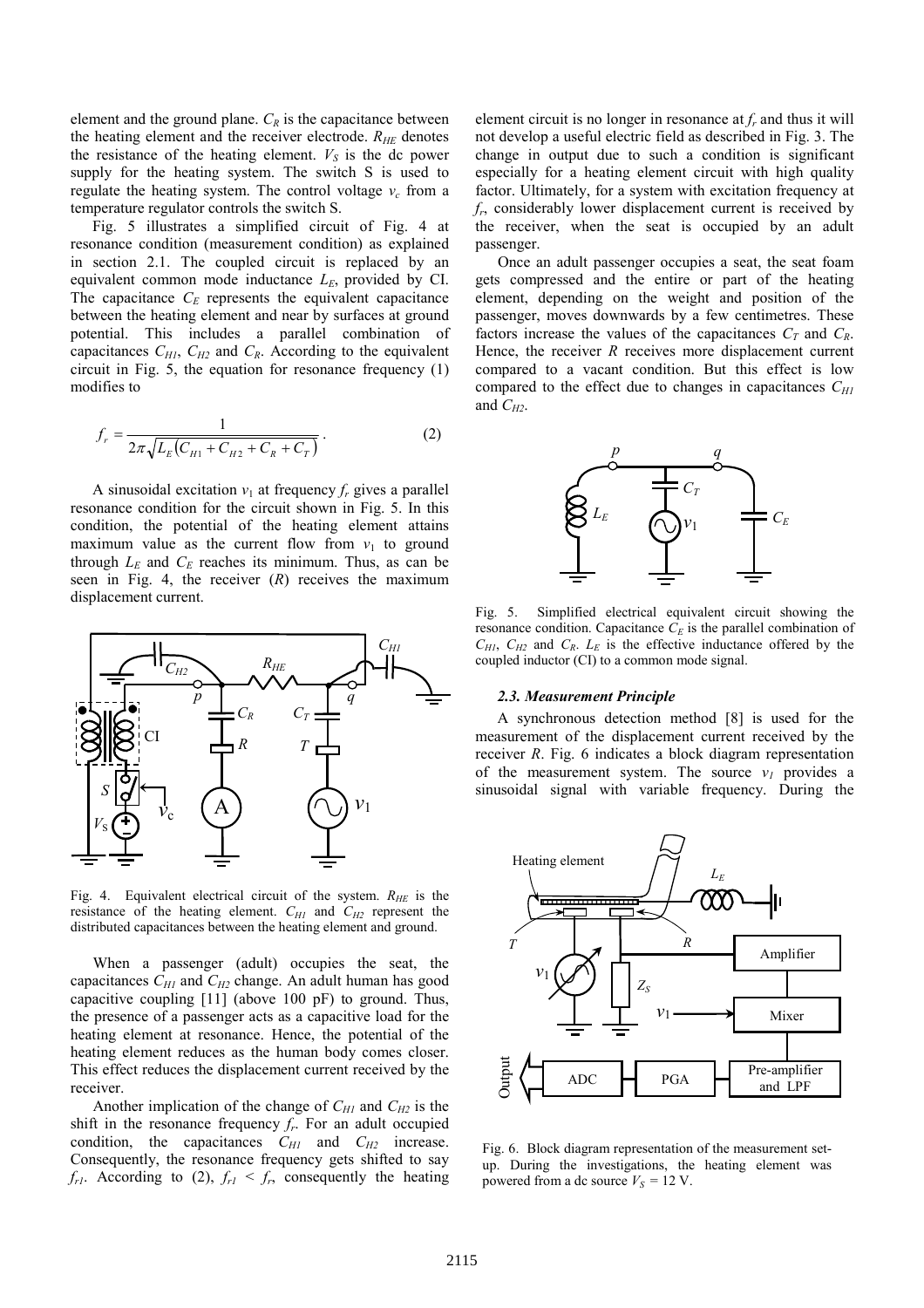element and the ground plane.  $C_R$  is the capacitance between the heating element and the receiver electrode. *RHE* denotes the resistance of the heating element.  $V<sub>S</sub>$  is the dc power supply for the heating system. The switch S is used to regulate the heating system. The control voltage  $v_c$  from a temperature regulator controls the switch S.

Fig. 5 illustrates a simplified circuit of Fig. 4 at resonance condition (measurement condition) as explained in section 2.1. The coupled circuit is replaced by an equivalent common mode inductance  $L<sub>E</sub>$ , provided by CI. The capacitance  $C_E$  represents the equivalent capacitance between the heating element and near by surfaces at ground potential. This includes a parallel combination of capacitances  $C_{H1}$ ,  $C_{H2}$  and  $C_R$ . According to the equivalent circuit in Fig. 5, the equation for resonance frequency (1) modifies to

$$
f_r = \frac{1}{2\pi\sqrt{L_E(C_{H1} + C_{H2} + C_R + C_T)}}.
$$
 (2)

A sinusoidal excitation  $v_1$  at frequency  $f_r$  gives a parallel resonance condition for the circuit shown in Fig. 5. In this condition, the potential of the heating element attains maximum value as the current flow from  $v_1$  to ground through  $L_E$  and  $C_E$  reaches its minimum. Thus, as can be seen in Fig. 4, the receiver (*R*) receives the maximum displacement current.



Fig. 4. Equivalent electrical circuit of the system. *RHE* is the resistance of the heating element.  $C_{H1}$  and  $C_{H2}$  represent the distributed capacitances between the heating element and ground.

When a passenger (adult) occupies the seat, the capacitances *CH1* and *CH2* change. An adult human has good capacitive coupling [11] (above 100 pF) to ground. Thus, the presence of a passenger acts as a capacitive load for the heating element at resonance. Hence, the potential of the heating element reduces as the human body comes closer. This effect reduces the displacement current received by the receiver.

Another implication of the change of *CH1* and *CH2* is the shift in the resonance frequency  $f_r$ . For an adult occupied condition, the capacitances *CH1* and *CH2* increase. Consequently, the resonance frequency gets shifted to say  $f_{r1}$ . According to (2),  $f_{r1} < f_r$ , consequently the heating

element circuit is no longer in resonance at  $f_r$  and thus it will not develop a useful electric field as described in Fig. 3. The change in output due to such a condition is significant especially for a heating element circuit with high quality factor. Ultimately, for a system with excitation frequency at *fr* , considerably lower displacement current is received by the receiver, when the seat is occupied by an adult passenger.

Once an adult passenger occupies a seat, the seat foam gets compressed and the entire or part of the heating element, depending on the weight and position of the passenger, moves downwards by a few centimetres. These factors increase the values of the capacitances  $C_T$  and  $C_R$ . Hence, the receiver *R* receives more displacement current compared to a vacant condition. But this effect is low compared to the effect due to changes in capacitances  $C_{H1}$ and  $C_{H2}$ .



Fig. 5. Simplified electrical equivalent circuit showing the resonance condition. Capacitance  $C<sub>E</sub>$  is the parallel combination of  $C_{H1}$ ,  $C_{H2}$  and  $C_R$ .  $L_E$  is the effective inductance offered by the coupled inductor (CI) to a common mode signal.

#### *2.3. Measurement Principle*

A synchronous detection method [8] is used for the measurement of the displacement current received by the receiver *R*. Fig. 6 indicates a block diagram representation of the measurement system. The source  $v<sub>I</sub>$  provides a sinusoidal signal with variable frequency. During the



Fig. 6. Block diagram representation of the measurement setup. During the investigations, the heating element was powered from a dc source  $V<sub>S</sub> = 12$  V.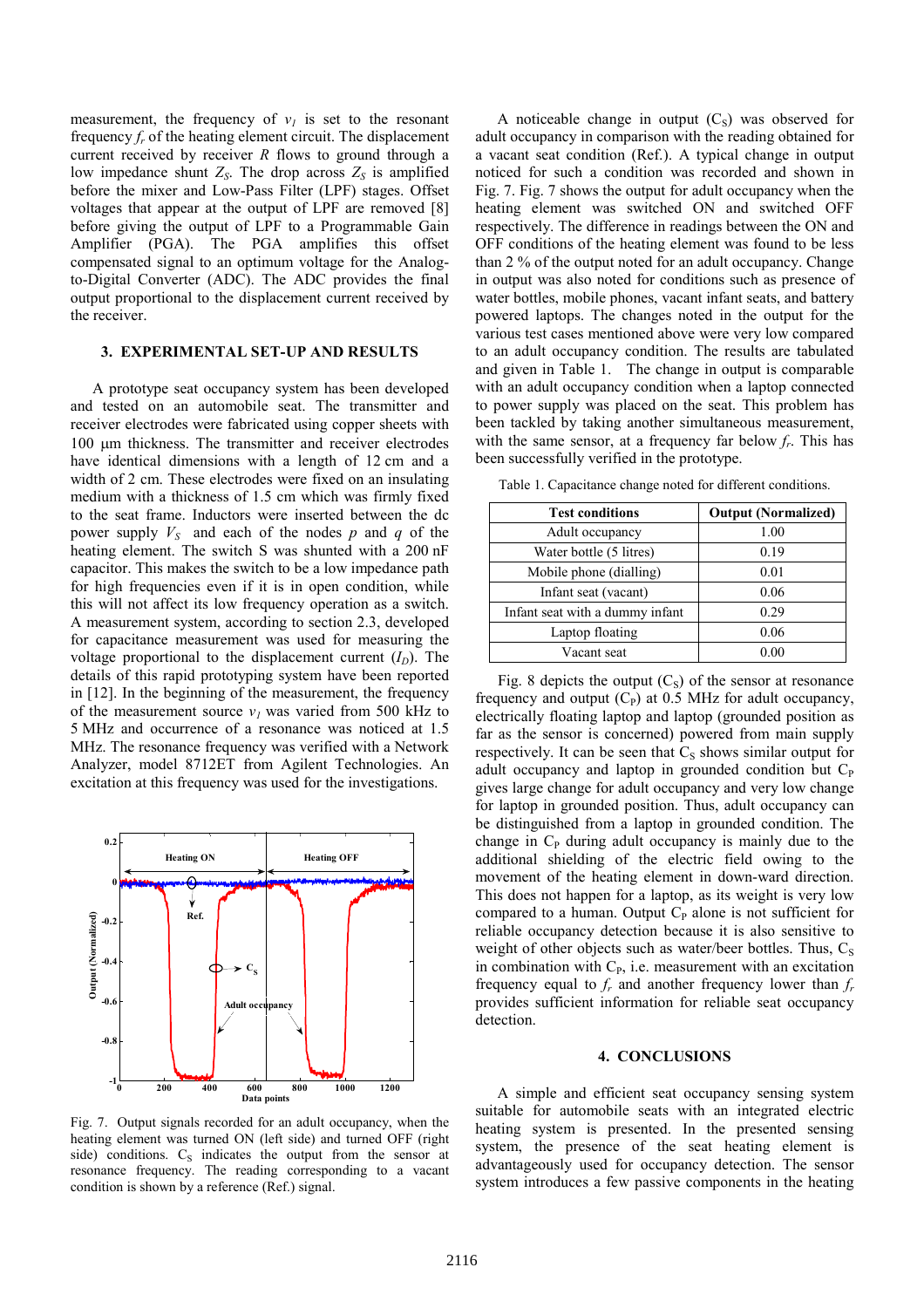measurement, the frequency of  $v<sub>l</sub>$  is set to the resonant frequency *f<sup>r</sup>* of the heating element circuit. The displacement current received by receiver *R* flows to ground through a low impedance shunt  $Z_s$ . The drop across  $Z_s$  is amplified before the mixer and Low-Pass Filter (LPF) stages. Offset voltages that appear at the output of LPF are removed [8] before giving the output of LPF to a Programmable Gain Amplifier (PGA). The PGA amplifies this offset compensated signal to an optimum voltage for the Analogto-Digital Converter (ADC). The ADC provides the final output proportional to the displacement current received by the receiver.

## **3. EXPERIMENTAL SET-UP AND RESULTS**

A prototype seat occupancy system has been developed and tested on an automobile seat. The transmitter and receiver electrodes were fabricated using copper sheets with 100 µm thickness. The transmitter and receiver electrodes have identical dimensions with a length of 12 cm and a width of 2 cm. These electrodes were fixed on an insulating medium with a thickness of 1.5 cm which was firmly fixed to the seat frame. Inductors were inserted between the dc power supply *VS* and each of the nodes *p* and *q* of the heating element. The switch S was shunted with a 200 nF capacitor. This makes the switch to be a low impedance path for high frequencies even if it is in open condition, while this will not affect its low frequency operation as a switch. A measurement system, according to section 2.3, developed for capacitance measurement was used for measuring the voltage proportional to the displacement current  $(I_D)$ . The details of this rapid prototyping system have been reported in [12]. In the beginning of the measurement, the frequency of the measurement source  $v<sub>I</sub>$  was varied from 500 kHz to 5 MHz and occurrence of a resonance was noticed at 1.5 MHz. The resonance frequency was verified with a Network Analyzer, model 8712ET from Agilent Technologies. An excitation at this frequency was used for the investigations.



Fig. 7. Output signals recorded for an adult occupancy, when the heating element was turned ON (left side) and turned OFF (right side) conditions.  $C_S$  indicates the output from the sensor at resonance frequency. The reading corresponding to a vacant condition is shown by a reference (Ref.) signal.

A noticeable change in output  $(C<sub>S</sub>)$  was observed for adult occupancy in comparison with the reading obtained for a vacant seat condition (Ref.). A typical change in output noticed for such a condition was recorded and shown in Fig. 7. Fig. 7 shows the output for adult occupancy when the heating element was switched ON and switched OFF respectively. The difference in readings between the ON and OFF conditions of the heating element was found to be less than 2 % of the output noted for an adult occupancy. Change in output was also noted for conditions such as presence of water bottles, mobile phones, vacant infant seats, and battery powered laptops. The changes noted in the output for the various test cases mentioned above were very low compared to an adult occupancy condition. The results are tabulated and given in Table 1. The change in output is comparable with an adult occupancy condition when a laptop connected to power supply was placed on the seat. This problem has been tackled by taking another simultaneous measurement, with the same sensor, at a frequency far below  $f_r$ . This has been successfully verified in the prototype.

Table 1. Capacitance change noted for different conditions.

| <b>Test conditions</b>          | <b>Output (Normalized)</b> |
|---------------------------------|----------------------------|
| Adult occupancy                 | 1.00                       |
| Water bottle (5 litres)         | 0.19                       |
| Mobile phone (dialling)         | 0.01                       |
| Infant seat (vacant)            | 0.06                       |
| Infant seat with a dummy infant | 0.29                       |
| Laptop floating                 | 0.06                       |
| Vacant seat                     | 0 OO                       |

Fig. 8 depicts the output  $(C_s)$  of the sensor at resonance frequency and output  $(C_P)$  at 0.5 MHz for adult occupancy, electrically floating laptop and laptop (grounded position as far as the sensor is concerned) powered from main supply respectively. It can be seen that  $C_s$  shows similar output for adult occupancy and laptop in grounded condition but  $C_P$ gives large change for adult occupancy and very low change for laptop in grounded position. Thus, adult occupancy can be distinguished from a laptop in grounded condition. The change in  $C_{P}$  during adult occupancy is mainly due to the additional shielding of the electric field owing to the movement of the heating element in down-ward direction. This does not happen for a laptop, as its weight is very low compared to a human. Output  $C_P$  alone is not sufficient for reliable occupancy detection because it is also sensitive to weight of other objects such as water/beer bottles. Thus,  $C_s$ in combination with  $C_{P_2}$ , i.e. measurement with an excitation frequency equal to  $f_r$  and another frequency lower than  $f_r$ provides sufficient information for reliable seat occupancy detection.

#### **4. CONCLUSIONS**

A simple and efficient seat occupancy sensing system suitable for automobile seats with an integrated electric heating system is presented. In the presented sensing system, the presence of the seat heating element is advantageously used for occupancy detection. The sensor system introduces a few passive components in the heating